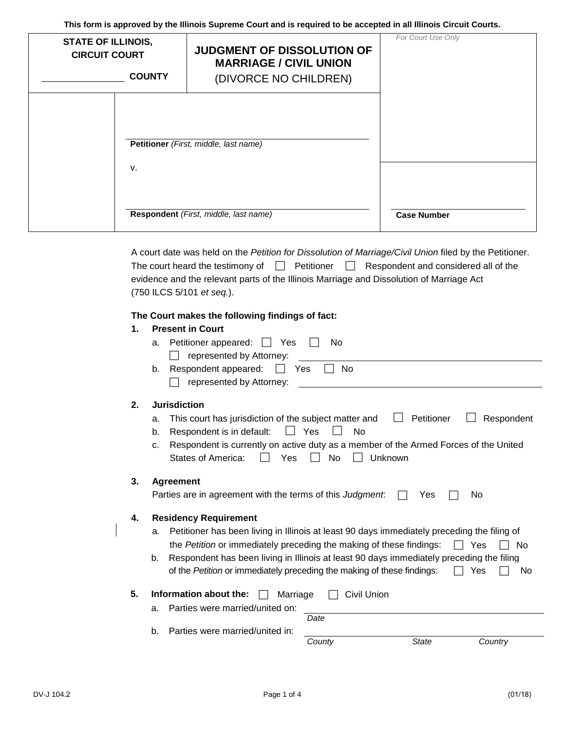**This form is approved by the Illinois Supreme Court and is required to be accepted in all Illinois Circuit Courts.**

| <b>STATE OF ILLINOIS,</b><br><b>CIRCUIT COURT</b><br><b>COUNTY</b> |    | JUDGMENT OF DISSOLUTION OF<br><b>MARRIAGE / CIVIL UNION</b><br>(DIVORCE NO CHILDREN) | For Court Use Only |
|--------------------------------------------------------------------|----|--------------------------------------------------------------------------------------|--------------------|
|                                                                    |    | Petitioner (First, middle, last name)                                                |                    |
|                                                                    | V. | Respondent (First, middle, last name)                                                | <b>Case Number</b> |

|                                                                                          |  | A court date was held on the Petition for Dissolution of Marriage/Civil Union filed by the Petitioner. |
|------------------------------------------------------------------------------------------|--|--------------------------------------------------------------------------------------------------------|
|                                                                                          |  | The court heard the testimony of $\Box$ Petitioner $\Box$ Respondent and considered all of the         |
| evidence and the relevant parts of the Illinois Marriage and Dissolution of Marriage Act |  |                                                                                                        |
| (750 ILCS 5/101 et seq.).                                                                |  |                                                                                                        |

# **The Court makes the following findings of fact:**

| 1. | <b>Present in Court</b>                                                                           |  |
|----|---------------------------------------------------------------------------------------------------|--|
|    | Petitioner appeared: $\Box$<br>No<br>Yes<br>a.                                                    |  |
|    | represented by Attorney:                                                                          |  |
|    | No<br>Respondent appeared:<br>Yes<br>b.                                                           |  |
|    | represented by Attorney:                                                                          |  |
| 2. | <b>Jurisdiction</b>                                                                               |  |
|    | This court has jurisdiction of the subject matter and<br>Petitioner<br>Respondent<br>a.           |  |
|    | No<br>Respondent is in default:<br>Yes<br>b.                                                      |  |
|    | Respondent is currently on active duty as a member of the Armed Forces of the United<br>C.        |  |
|    | <b>States of America:</b><br>No<br>Unknown<br>Yes                                                 |  |
| 3. | <b>Agreement</b>                                                                                  |  |
|    | Parties are in agreement with the terms of this Judgment.<br>Yes<br>No                            |  |
| 4. | <b>Residency Requirement</b>                                                                      |  |
|    | Petitioner has been living in Illinois at least 90 days immediately preceding the filing of<br>a. |  |
|    | the Petition or immediately preceding the making of these findings:<br>Yes<br>No                  |  |
|    | Respondent has been living in Illinois at least 90 days immediately preceding the filing<br>b.    |  |
|    | of the Petition or immediately preceding the making of these findings:<br>Yes<br>No               |  |
| 5. | Information about the:<br>Civil Union<br>Marriage                                                 |  |
|    | Parties were married/united on:<br>a.                                                             |  |
|    | Date                                                                                              |  |
|    | Parties were married/united in:<br>b.                                                             |  |
|    | County<br><b>State</b><br>Country                                                                 |  |
|    |                                                                                                   |  |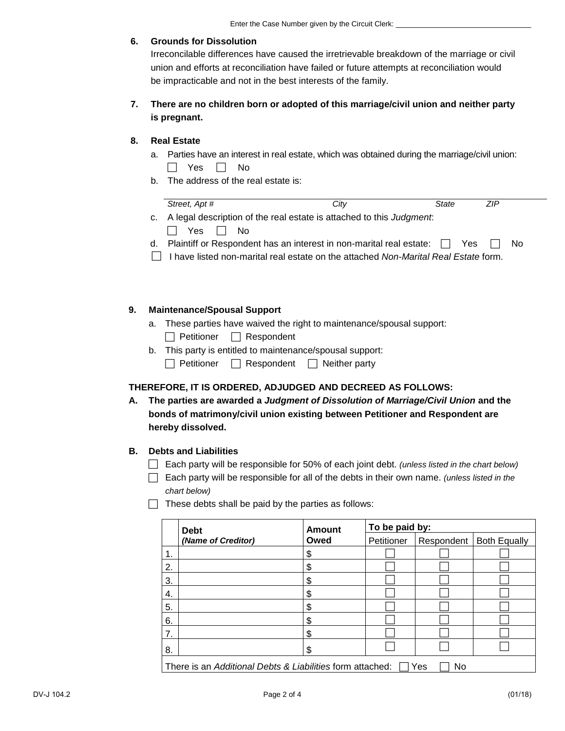### **6. Grounds for Dissolution**

Irreconcilable differences have caused the irretrievable breakdown of the marriage or civil union and efforts at reconciliation have failed or future attempts at reconciliation would be impracticable and not in the best interests of the family.

## **7. There are no children born or adopted of this marriage/civil union and neither party is pregnant.**

### **8. Real Estate**

- a. Parties have an interest in real estate, which was obtained during the marriage/civil union:  $\Box$  Yes  $\Box$  No
- b. The address of the real estate is:

| Street, Apt #                                                                 | City | State | ZIP |     |
|-------------------------------------------------------------------------------|------|-------|-----|-----|
| c. A legal description of the real estate is attached to this Judgment.       |      |       |     |     |
| $\Box$ Yes $\Box$ No                                                          |      |       |     |     |
| d. Plaintiff or Respondent has an interest in non-marital real estate: $\Box$ |      | Yes   |     | No. |

I have listed non-marital real estate on the attached *Non-Marital Real Estate* form.

### **9. Maintenance/Spousal Support**

- a. These parties have waived the right to maintenance/spousal support:  $\Box$  Petitioner  $\Box$  Respondent
- b. This party is entitled to maintenance/spousal support:
	- $\Box$  Petitioner  $\Box$  Respondent  $\Box$  Neither party

## **THEREFORE, IT IS ORDERED, ADJUDGED AND DECREED AS FOLLOWS:**

**A. The parties are awarded a** *Judgment of Dissolution of Marriage/Civil Union* **and the bonds of matrimony/civil union existing between Petitioner and Respondent are hereby dissolved.**

#### **B. Debts and Liabilities**

- Each party will be responsible for 50% of each joint debt. *(unless listed in the chart below)*
- Each party will be responsible for all of the debts in their own name. *(unless listed in the chart below)*
- $\Box$  These debts shall be paid by the parties as follows:

|    | <b>Debt</b>                                               | <b>Amount</b> | To be paid by: |            |                     |  |  |
|----|-----------------------------------------------------------|---------------|----------------|------------|---------------------|--|--|
|    | (Name of Creditor)                                        | Owed          | Petitioner     | Respondent | <b>Both Equally</b> |  |  |
| 1. |                                                           | JЭ            |                |            |                     |  |  |
| 2. |                                                           | ۰D            |                |            |                     |  |  |
| 3. |                                                           | S             |                |            |                     |  |  |
| 4. |                                                           | æ             |                |            |                     |  |  |
| 5. |                                                           | JЭ            |                |            |                     |  |  |
| 6. |                                                           | æ             |                |            |                     |  |  |
| 7. |                                                           | S             |                |            |                     |  |  |
| 8. |                                                           | ъD            |                |            |                     |  |  |
|    | There is an Additional Debts & Liabilities form attached: |               |                | Yes<br>No  |                     |  |  |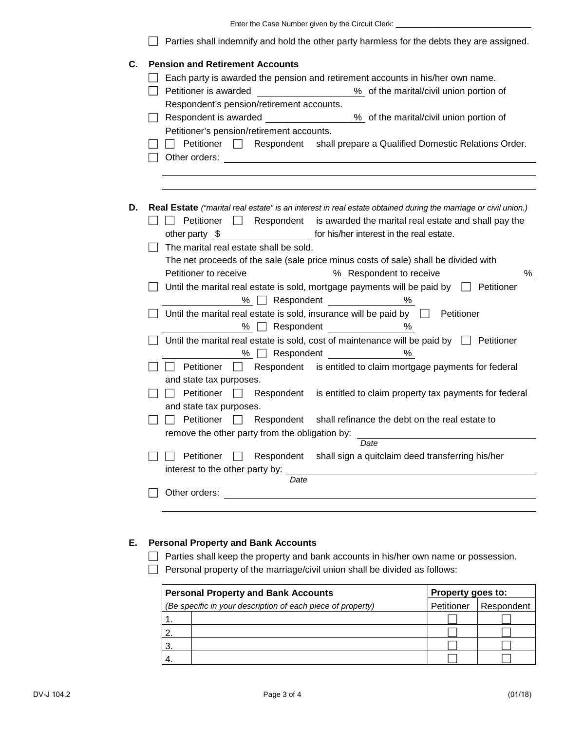| Enter the Case Number given by the Circuit Clerk:                                                                                                                                                                                                                               |
|---------------------------------------------------------------------------------------------------------------------------------------------------------------------------------------------------------------------------------------------------------------------------------|
| Parties shall indemnify and hold the other party harmless for the debts they are assigned.                                                                                                                                                                                      |
| <b>Pension and Retirement Accounts</b>                                                                                                                                                                                                                                          |
| Each party is awarded the pension and retirement accounts in his/her own name.                                                                                                                                                                                                  |
| Petitioner is awarded<br>% of the marital/civil union portion of                                                                                                                                                                                                                |
| Respondent's pension/retirement accounts.                                                                                                                                                                                                                                       |
| % of the marital/civil union portion of<br>Respondent is awarded <b>container the set of the set of the set of the set of the set of the set of the set of the set of the set of the set of the set of the set of the set of the set of the set of the set of the set of th</b> |
| Petitioner's pension/retirement accounts.                                                                                                                                                                                                                                       |
| Petitioner<br>Respondent shall prepare a Qualified Domestic Relations Order.<br>Other orders:                                                                                                                                                                                   |
|                                                                                                                                                                                                                                                                                 |
| Real Estate ("marital real estate" is an interest in real estate obtained during the marriage or civil union.)                                                                                                                                                                  |
| Petitioner<br>is awarded the marital real estate and shall pay the<br>Respondent                                                                                                                                                                                                |
| for his/her interest in the real estate.<br>other party $$$                                                                                                                                                                                                                     |
| The marital real estate shall be sold.                                                                                                                                                                                                                                          |
| The net proceeds of the sale (sale price minus costs of sale) shall be divided with                                                                                                                                                                                             |
| %<br>Petitioner to receive<br>% Respondent to receive                                                                                                                                                                                                                           |
| Until the marital real estate is sold, mortgage payments will be paid by $\Box$ Petitioner                                                                                                                                                                                      |
| % $\Box$ Respondent<br>%                                                                                                                                                                                                                                                        |
| Until the marital real estate is sold, insurance will be paid by $\Box$ Petitioner                                                                                                                                                                                              |
| % □<br>Respondent and the second service of the series of the series of the series of the series of the series of the series of the series of the series of the series of the series of the series of the series of the series of the<br>%                                      |
| Until the marital real estate is sold, cost of maintenance will be paid by $\Box$ Petitioner                                                                                                                                                                                    |
| Respondent<br>%<br>$%$ $\Box$                                                                                                                                                                                                                                                   |
| Respondent is entitled to claim mortgage payments for federal<br>Petitioner<br>$\Box$                                                                                                                                                                                           |
| and state tax purposes.                                                                                                                                                                                                                                                         |
| Petitioner<br>is entitled to claim property tax payments for federal<br>Respondent<br>- 1                                                                                                                                                                                       |
| and state tax purposes.                                                                                                                                                                                                                                                         |
| Petitioner<br>Respondent shall refinance the debt on the real estate to                                                                                                                                                                                                         |
|                                                                                                                                                                                                                                                                                 |
| remove the other party from the obligation by:<br>Date                                                                                                                                                                                                                          |
| Petitioner<br>Respondent<br>shall sign a quitclaim deed transferring his/her                                                                                                                                                                                                    |
|                                                                                                                                                                                                                                                                                 |
|                                                                                                                                                                                                                                                                                 |
| interest to the other party by:<br>Date                                                                                                                                                                                                                                         |
| Other orders:                                                                                                                                                                                                                                                                   |

## **E. Personal Property and Bank Accounts**

Parties shall keep the property and bank accounts in his/her own name or possession.

 $\Box$  Personal property of the marriage/civil union shall be divided as follows:

|                | <b>Personal Property and Bank Accounts</b>                  | Property goes to: |            |
|----------------|-------------------------------------------------------------|-------------------|------------|
|                | (Be specific in your description of each piece of property) | Petitioner        | Respondent |
|                |                                                             |                   |            |
| $\overline{2}$ |                                                             |                   |            |
| -3.            |                                                             |                   |            |
|                |                                                             |                   |            |